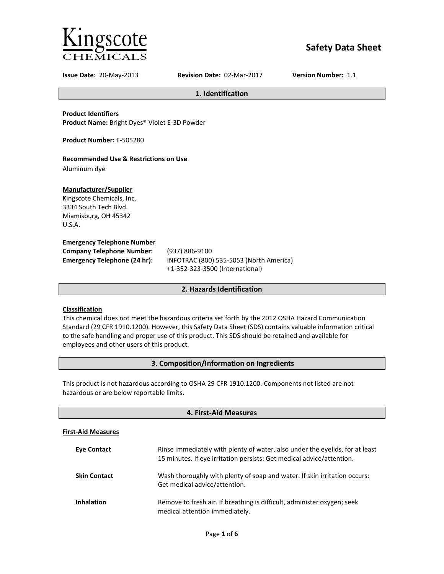

# **Safety Data Sheet**

**Issue Date:** 20-May-2013 **Revision Date:** 02-Mar-2017 **Version Number:** 1.1

**1. Identification**

**Product Identifiers**

**Product Name:** Bright Dyes® Violet E-3D Powder

**Product Number:** E-505280

## **Recommended Use & Restrictions on Use**

Aluminum dye

## **Manufacturer/Supplier**

Kingscote Chemicals, Inc. 3334 South Tech Blvd. Miamisburg, OH 45342 U.S.A.

## **Emergency Telephone Number**

| <b>Company Telephone Number:</b> | (937)       |
|----------------------------------|-------------|
| Emergency Telephone (24 hr):     | <b>INFC</b> |
|                                  |             |

**Company Telephone Number:** (937) 886-9100 **Emergency Telephone (24 hr):** INFOTRAC (800) 535-5053 (North America) +1-352-323-3500 (International)

## **2. Hazards Identification**

## **Classification**

This chemical does not meet the hazardous criteria set forth by the 2012 OSHA Hazard Communication Standard (29 CFR 1910.1200). However, this Safety Data Sheet (SDS) contains valuable information critical to the safe handling and proper use of this product. This SDS should be retained and available for employees and other users of this product.

## **3. Composition/Information on Ingredients**

This product is not hazardous according to OSHA 29 CFR 1910.1200. Components not listed are not hazardous or are below reportable limits.

| 4. First-Aid Measures     |                                                                                                                                                       |  |
|---------------------------|-------------------------------------------------------------------------------------------------------------------------------------------------------|--|
| <b>First-Aid Measures</b> |                                                                                                                                                       |  |
| <b>Eve Contact</b>        | Rinse immediately with plenty of water, also under the eyelids, for at least<br>15 minutes. If eye irritation persists: Get medical advice/attention. |  |
| <b>Skin Contact</b>       | Wash thoroughly with plenty of soap and water. If skin irritation occurs:<br>Get medical advice/attention.                                            |  |
| <b>Inhalation</b>         | Remove to fresh air. If breathing is difficult, administer oxygen; seek<br>medical attention immediately.                                             |  |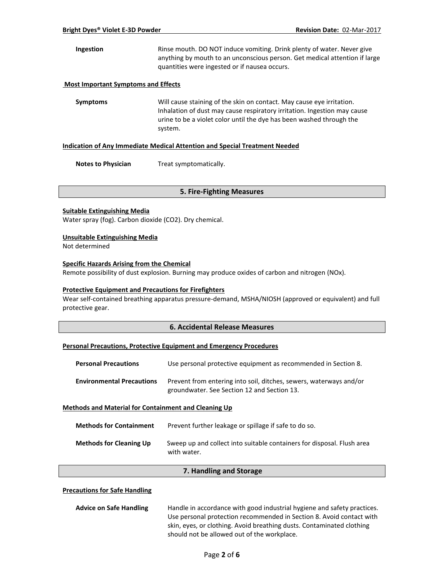**Ingestion** Rinse mouth. DO NOT induce vomiting. Drink plenty of water. Never give anything by mouth to an unconscious person. Get medical attention if large quantities were ingested or if nausea occurs.

### **Most Important Symptoms and Effects**

**Symptoms** Will cause staining of the skin on contact. May cause eye irritation. Inhalation of dust may cause respiratory irritation. Ingestion may cause urine to be a violet color until the dye has been washed through the system.

#### **Indication of Any Immediate Medical Attention and Special Treatment Needed**

**Notes to Physician** Treat symptomatically.

### **5. Fire-Fighting Measures**

### **Suitable Extinguishing Media**

Water spray (fog). Carbon dioxide (CO2). Dry chemical.

### **Unsuitable Extinguishing Media**

Not determined

## **Specific Hazards Arising from the Chemical**

Remote possibility of dust explosion. Burning may produce oxides of carbon and nitrogen (NOx).

### **Protective Equipment and Precautions for Firefighters**

Wear self-contained breathing apparatus pressure-demand, MSHA/NIOSH (approved or equivalent) and full protective gear.

## **6. Accidental Release Measures**

### **Personal Precautions, Protective Equipment and Emergency Procedures**

| <b>Personal Precautions</b>                                 | Use personal protective equipment as recommended in Section 8.                                                    |  |
|-------------------------------------------------------------|-------------------------------------------------------------------------------------------------------------------|--|
| <b>Environmental Precautions</b>                            | Prevent from entering into soil, ditches, sewers, waterways and/or<br>groundwater. See Section 12 and Section 13. |  |
| <b>Methods and Material for Containment and Cleaning Up</b> |                                                                                                                   |  |

| <b>Methods for Containment</b> | Prevent further leakage or spillage if safe to do so.                                 |
|--------------------------------|---------------------------------------------------------------------------------------|
| <b>Methods for Cleaning Up</b> | Sweep up and collect into suitable containers for disposal. Flush area<br>with water. |

### **7. Handling and Storage**

### **Precautions for Safe Handling**

| <b>Advice on Safe Handling</b> | Handle in accordance with good industrial hygiene and safety practices. |  |
|--------------------------------|-------------------------------------------------------------------------|--|
|                                | Use personal protection recommended in Section 8. Avoid contact with    |  |
|                                | skin, eyes, or clothing. Avoid breathing dusts. Contaminated clothing   |  |
|                                | should not be allowed out of the workplace.                             |  |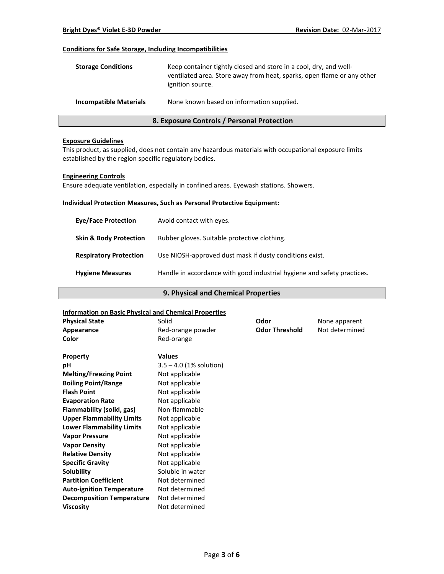## **Conditions for Safe Storage, Including Incompatibilities**

| <b>Storage Conditions</b>     | Keep container tightly closed and store in a cool, dry, and well-<br>ventilated area. Store away from heat, sparks, open flame or any other<br>ignition source. |
|-------------------------------|-----------------------------------------------------------------------------------------------------------------------------------------------------------------|
| <b>Incompatible Materials</b> | None known based on information supplied.                                                                                                                       |

## **8. Exposure Controls / Personal Protection**

#### **Exposure Guidelines**

This product, as supplied, does not contain any hazardous materials with occupational exposure limits established by the region specific regulatory bodies.

#### **Engineering Controls**

Ensure adequate ventilation, especially in confined areas. Eyewash stations. Showers.

## **Individual Protection Measures, Such as Personal Protective Equipment:**

| <b>Eve/Face Protection</b>        | Avoid contact with eyes.                                                |
|-----------------------------------|-------------------------------------------------------------------------|
| <b>Skin &amp; Body Protection</b> | Rubber gloves. Suitable protective clothing.                            |
| <b>Respiratory Protection</b>     | Use NIOSH-approved dust mask if dusty conditions exist.                 |
| <b>Hygiene Measures</b>           | Handle in accordance with good industrial hygiene and safety practices. |

## **9. Physical and Chemical Properties**

## **Information on Basic Physical and Chemical Properties**

| <b>Physical State</b>            | Solid                     | Odor                  | None apparent  |  |
|----------------------------------|---------------------------|-----------------------|----------------|--|
| Appearance                       | Red-orange powder         | <b>Odor Threshold</b> | Not determined |  |
| Color                            | Red-orange                |                       |                |  |
| <b>Property</b>                  | <b>Values</b>             |                       |                |  |
| рH                               | $3.5 - 4.0$ (1% solution) |                       |                |  |
| <b>Melting/Freezing Point</b>    | Not applicable            |                       |                |  |
| <b>Boiling Point/Range</b>       | Not applicable            |                       |                |  |
| <b>Flash Point</b>               | Not applicable            |                       |                |  |
| <b>Evaporation Rate</b>          | Not applicable            |                       |                |  |
| Flammability (solid, gas)        | Non-flammable             |                       |                |  |
| <b>Upper Flammability Limits</b> | Not applicable            |                       |                |  |
| <b>Lower Flammability Limits</b> | Not applicable            |                       |                |  |
| <b>Vapor Pressure</b>            | Not applicable            |                       |                |  |
| <b>Vapor Density</b>             | Not applicable            |                       |                |  |
| <b>Relative Density</b>          | Not applicable            |                       |                |  |
| <b>Specific Gravity</b>          | Not applicable            |                       |                |  |
| Solubility                       | Soluble in water          |                       |                |  |
| <b>Partition Coefficient</b>     | Not determined            |                       |                |  |
| <b>Auto-ignition Temperature</b> | Not determined            |                       |                |  |
| <b>Decomposition Temperature</b> | Not determined            |                       |                |  |
| <b>Viscosity</b>                 | Not determined            |                       |                |  |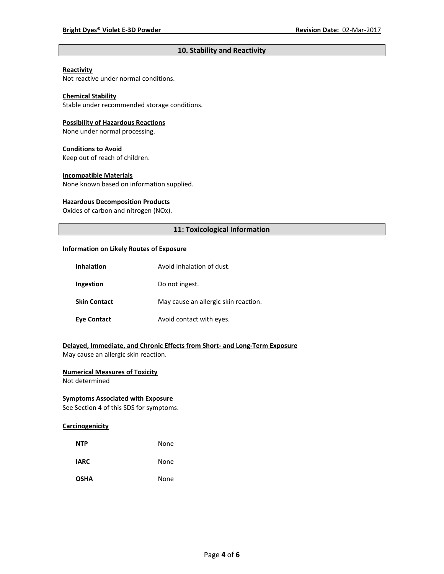## **10. Stability and Reactivity**

## **Reactivity**

Not reactive under normal conditions.

## **Chemical Stability**

Stable under recommended storage conditions.

#### **Possibility of Hazardous Reactions**

None under normal processing.

#### **Conditions to Avoid**

Keep out of reach of children.

#### **Incompatible Materials**

None known based on information supplied.

#### **Hazardous Decomposition Products**

Oxides of carbon and nitrogen (NOx).

## **11: Toxicological Information**

#### **Information on Likely Routes of Exposure**

| <b>Inhalation</b>   | Avoid inhalation of dust.            |
|---------------------|--------------------------------------|
| Ingestion           | Do not ingest.                       |
| <b>Skin Contact</b> | May cause an allergic skin reaction. |
| <b>Eve Contact</b>  | Avoid contact with eyes.             |

## **Delayed, Immediate, and Chronic Effects from Short- and Long-Term Exposure**

May cause an allergic skin reaction.

## **Numerical Measures of Toxicity**

Not determined

## **Symptoms Associated with Exposure**

See Section 4 of this SDS for symptoms.

## **Carcinogenicity**

| <b>NTP</b>  | None |
|-------------|------|
| <b>IARC</b> | None |
| <b>OSHA</b> | None |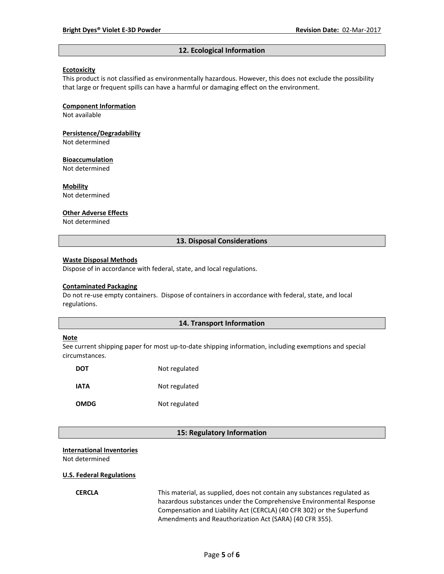#### **12. Ecological Information**

### **Ecotoxicity**

This product is not classified as environmentally hazardous. However, this does not exclude the possibility that large or frequent spills can have a harmful or damaging effect on the environment.

#### **Component Information**

Not available

# **Persistence/Degradability**

Not determined

#### **Bioaccumulation**

Not determined

#### **Mobility**

Not determined

#### **Other Adverse Effects**

Not determined

### **13. Disposal Considerations**

#### **Waste Disposal Methods**

Dispose of in accordance with federal, state, and local regulations.

#### **Contaminated Packaging**

Do not re-use empty containers.Dispose of containers in accordance with federal, state, and local regulations.

## **14. Transport Information**

#### **Note**

See current shipping paper for most up-to-date shipping information, including exemptions and special circumstances.

| <b>DOT</b>  | Not regulated |
|-------------|---------------|
| IATA        | Not regulated |
| <b>OMDG</b> | Not regulated |

### **15: Regulatory Information**

### **International Inventories**

Not determined

#### **U.S. Federal Regulations**

**CERCLA** This material, as supplied, does not contain any substances regulated as hazardous substances under the Comprehensive Environmental Response Compensation and Liability Act (CERCLA) (40 CFR 302) or the Superfund Amendments and Reauthorization Act (SARA) (40 CFR 355).